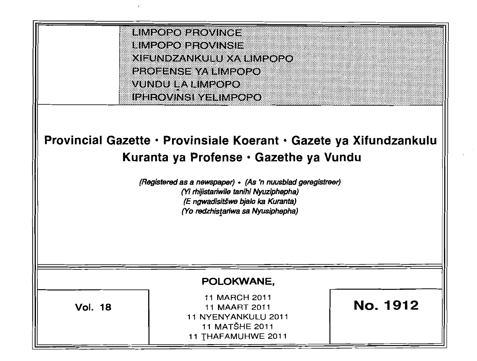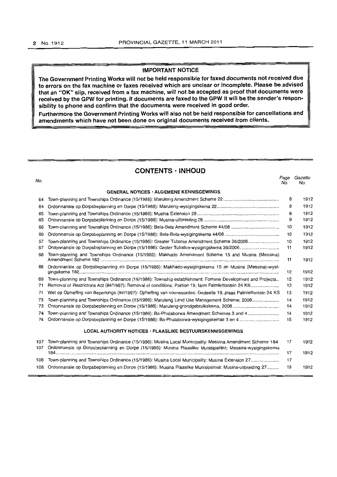# **IMPORTANT NOTICE**

**The Government Printing Works will not be held responsible for faxed documents not received due to errors on the fax machine or faxes received which are unclear or incomplete. Please be advised that an "OK" slip, received from a fax machine, will not be accepted as proof that documents were received by the GPW for printing. If documents are faxed to the GPW it will be the sender's responsibility to phone and confirm that the documents were received in good order.** 

**Furthermore the Government Printing Works will also not be held responsible for cancellations and amendments which have not been done on original documents received from clients.** 

# **CONTENTS· INHOUD**

| No. |                                                                                                               | Page<br>No. | Gazette<br>No. |
|-----|---------------------------------------------------------------------------------------------------------------|-------------|----------------|
|     | <b>GENERAL NOTICES · ALGEMENE KENNISGEWINGS</b>                                                               |             |                |
| 64  |                                                                                                               | 8           | 1912           |
| 64  |                                                                                                               | 8           | 1912           |
| 65  |                                                                                                               | 8           | 1912           |
| 65  |                                                                                                               | 9           | 1912           |
| 66  |                                                                                                               | 10          | 1912           |
| 66  |                                                                                                               | 10          | 1912           |
| 67  | Town-planning and Townships Ordinance (15/1986): Greater Tubatse Amendment Scheme 36/2006                     | 10          | 1912           |
| 67  | Ordonnansie op Dorpsbeplanning en Dorpe (15/1986): Groter Tubatse-wysigingskema 36/2006                       | 11          | 1912           |
| 68  | Town-planning and Townships Ordinance (15/1986): Makhado Amendment Scheme 15 and Musina (Messina)             | 11          | 1912           |
| 68  | Ordonnansie op Dorpsbeplanning en Dorpe (15/1986): Makhado-wysigingskema 15 en Musina (Messina)-wysi-         | 12          | 1912           |
| 69  | Town-planning and Townships Ordinance (15/1986): Township establishment: Fomane Development and Projects      | 12          | 1912           |
| 71  | Removal of Restrictions Act (84/1967): Removal of conditions: Portion 19, farm Palmietfontein 24 KS           | 13          | 1912           |
| 71  | Wet op Opheffing van Beperkings (84/1967): Opheffing van voorwaardes: Gedeelte 19, plaas Palmietfontein 24 KS | 13          | 1912           |
| 73  | Town-planning and Townships Ordinance (15/1986): Maruleng Land Use Management Scheme, 2008                    | 14          | 1912           |
| 73  |                                                                                                               | 14          | 1912           |
| 74  | Town-planning and Townships Ordinance (15/1986): Ba-Phalaborwa Amendment Schemes 3 and 4                      | 14          | 1912           |
| 74  |                                                                                                               | 15          | 1912           |
|     | <b>LOCAL AUTHORITY NOTICES · PLAASLIKE BESTUURSKENNISGEWINGS</b>                                              |             |                |
| 107 | Town-planning and Townships Ordinance (15/1986): Musina Local Municipality: Messina Amendment Scheme 184      | 17          | 1912           |
| 107 | Ordonnansie op Dorpsbeplanning en Dorpe (15/1986): Musina Plaaslike Munisipaliteit: Messina-wysigingskema     | 17          | 1912           |
| 108 | Town-planning and Townships Ordinance (15/1986): Musina Local Municipality: Musina Extension 27               | 17          |                |
| 108 | Ordonnansie op Dorpsbeplanning en Dorpe (15/1986): Musina Plaaslike Munisipaliteit: Musina-uitbreiding 27     | 19          | 1912           |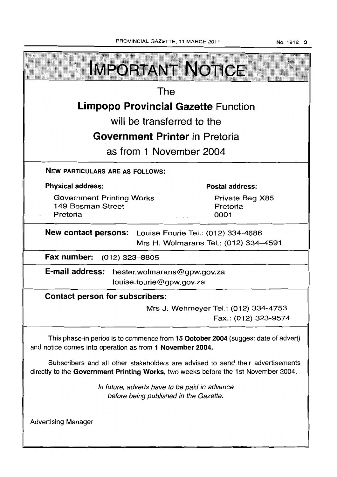PROVINCIAL GAZETTE, 11 MARCH 2011 **No. 1912 3** 

| <b>IMPORTANT NOTICE</b>                                                                                                                                               |                                     |  |  |  |
|-----------------------------------------------------------------------------------------------------------------------------------------------------------------------|-------------------------------------|--|--|--|
| The                                                                                                                                                                   |                                     |  |  |  |
| <b>Limpopo Provincial Gazette Function</b>                                                                                                                            |                                     |  |  |  |
| will be transferred to the                                                                                                                                            |                                     |  |  |  |
| <b>Government Printer</b> in Pretoria                                                                                                                                 |                                     |  |  |  |
| as from 1 November 2004                                                                                                                                               |                                     |  |  |  |
| <b>NEW PARTICULARS ARE AS FOLLOWS:</b>                                                                                                                                |                                     |  |  |  |
| <b>Physical address:</b>                                                                                                                                              | <b>Postal address:</b>              |  |  |  |
| <b>Government Printing Works</b><br>149 Bosman Street<br>Pretoria                                                                                                     | Private Bag X85<br>Pretoria<br>0001 |  |  |  |
| New contact persons: Louise Fourie Tel.: (012) 334-4686<br>Mrs H. Wolmarans Tel.: (012) 334-4591                                                                      |                                     |  |  |  |
| Fax number: (012) 323-8805                                                                                                                                            |                                     |  |  |  |
| E-mail address: hester.wolmarans@gpw.gov.za<br>louise.fourie@gpw.gov.za                                                                                               |                                     |  |  |  |
| <b>Contact person for subscribers:</b>                                                                                                                                |                                     |  |  |  |
| Mrs J. Wehmeyer Tel.: (012) 334-4753<br>Fax.: (012) 323-9574                                                                                                          |                                     |  |  |  |
| This phase-in period is to commence from 15 October 2004 (suggest date of advert)<br>and notice comes into operation as from 1 November 2004.                         |                                     |  |  |  |
| Subscribers and all other stakeholders are advised to send their advertisements<br>directly to the Government Printing Works, two weeks before the 1st November 2004. |                                     |  |  |  |
| In future, adverts have to be paid in advance<br>before being published in the Gazette.                                                                               |                                     |  |  |  |
| <b>Advertising Manager</b>                                                                                                                                            |                                     |  |  |  |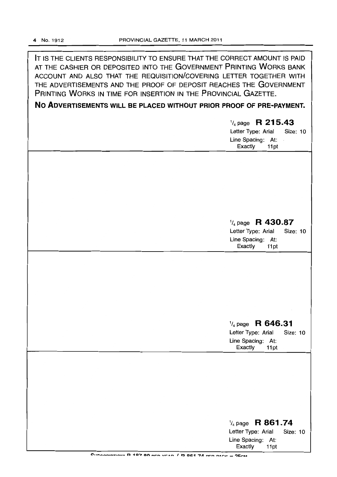IT IS THE CLIENTS RESPONSIBILITY TO ENSURE THAT THE CORRECT AMOUNT IS PAID AT THE CASHIER OR DEPOSITED INTO THE GOVERNMENT PRINTING WORKS BANK ACCOUNT AND ALSO THAT THE REQUISITION/COVERING LETTER TOGETHER WITH THE ADVERTISEMENTS AND THE PROOF OF DEPOSIT REACHES THE GOVERNMENT PRINTING WORKS IN TIME FOR INSERTION IN THE PROVINCIAL GAZETTE.

# **No ADVERTISEMENTS** WILL **BE PLACED WITHOUT PRIOR PROOF OF PRE-PAYMENT.**

1/4 page **R 215.43**  Letter Type: Arial Size: 10 Line Spacing: At: Exactly 11 pt

# 1/4 page **R 430.87**

Letter Type: Arial Size: 10 Line Spacing: At: Exactly 11pt

# 1/4 page **R 646.31**

Letter Type: Arial Size: 10 Line Spacing: At: Exactly 11pt

| $\frac{1}{4}$ page R 861.74                                |  |  |  |
|------------------------------------------------------------|--|--|--|
| Letter Type: Arial Size: 10                                |  |  |  |
| Line Spacing: At:                                          |  |  |  |
| Exactly 11pt                                               |  |  |  |
| Superprinting D 197 90 pro year / D 961 74 per pace - 25cM |  |  |  |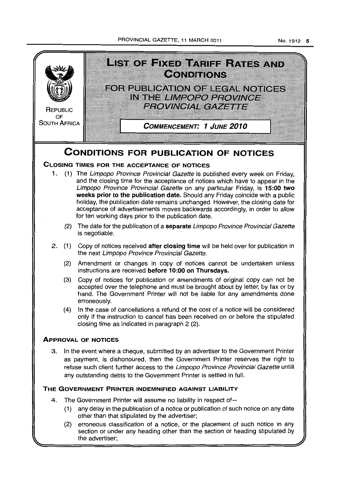PROVINCIAL GAZETTE, 11 MARCH 2011

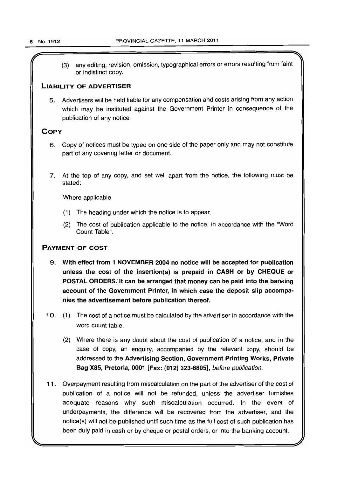(3) any editing, revision, omission, typographical errors or errors resulting from faint or indistinct copy.

# LIABILITY OF ADVERTISER

5. Advertisers will be held liable for any compensation and costs arising from any action which may be instituted against the Government Printer in consequence of the publication of any notice.

# **COPY**

- 6. Copy of notices must be typed on one side of the paper only and may not constitute part of any covering letter or document.
- 7. At the top of any copy, and set well apart from the notice, the following must be stated:

Where applicable

- (1) The heading under which the notice is to appear.
- (2) The cost of publication applicable to the notice, in accordance with the "Word Count Table".

# PAYMENT OF COST

- 9. With effect from 1 NOVEMBER 2004 no notice will be accepted for publication unless the cost of the insertion(s) is prepaid in CASH or by CHEQUE or POSTAL ORDERS: It can be arranged that money can be paid into the banking account of the Government Printer, in which case the deposit slip accompanies the advertisement before publication thereof.
- 10. (1) The cost of a notice must be calculated by the advertiser in accordance with the word count table.
	- (2) Where there is any doubt about the cost of publication of a notice, and in the case of copy, an enquiry, accompanied by the relevant copy, should be addressed to the Advertising Section, Government Printing Works, Private Bag X85, Pretoria, 0001 [Fax: (012) 323-8805], before publication.
- 11 . Overpayment resulting from miscalculation on the part of the advertiser of the cost of publication of a notice will not be refunded, unless the advertiser furnishes adequate reasons why such miscalculation occurred. In the event of underpayments, the difference will be recovered from the advertiser, and the notice(s) will not be published until such time as the full cost of such publication has been duly paid in cash or by cheque or postal orders, or into the banking account.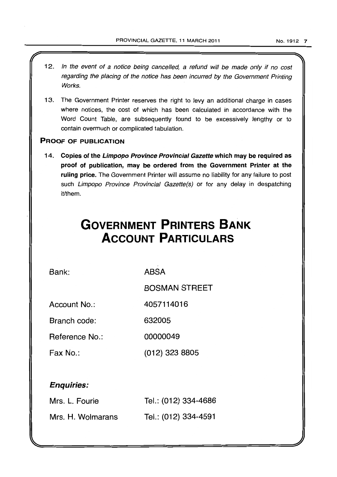- 12. In the event of a notice being cancelled, a refund will be made only if no cost regarding the placing of the notice has been incurred by the Government Printing **Works**
- 13. The Government Printer reserves the right to levy an additional charge in cases where notices, the cost of which has been calculated in accordance with the Word Count Table, are subsequently found to be excessively lengthy or to contain overmuch or complicated tabulation.

# PROOF OF PUBLICATION

14. Copies of the Limpopo Province Provincial Gazette which may be required as proof of publication, may be ordered from the Government Printer at the ruling price. The Government Printer will assume no liability for any failure to post such Limpopo Province Provincial Gazette(s) or for any delay in despatching it/them.

# **GOVERNMENT PRINTERS BANK ACCOUNT PARTICULARS**

Bank:

ABSA

BOSMAN STREET

Account No.: 4057114016

Branch code: 632005

Reference No.: 00000049

Fax No.: (012) 323 8805

# Enquiries:

| Mrs. L. Fourie    | Tel.: (012) 334-4686 |
|-------------------|----------------------|
| Mrs. H. Wolmarans | Tel.: (012) 334-4591 |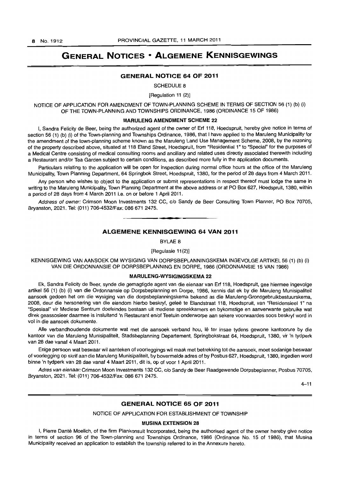# **GENERAL NOTICES • ALGEMENE KENNISGEWINGS**

### **GENERAL NOTICE 64 OF 2011**

SCHEDULE 8

[Regulation 11 (2)]

NOTICE OF APPLICATION FOR AMENDMENT OF TOWN-PLANNING SCHEME IN TERMS OF SECTION 56 (1) (b) (i) OF THE TOWN-PLANNING AND TOWNSHIPS ORDINANCE, 1986 (ORDINANCE 15 OF 1986)

#### **MARULENG AMENDMENT SCHEME 22**

I, Sandra Felicity de Beer, being the authorized agent of the owner of Erf 118, Hoedspruit, hereby give notice in terms of section 56 (1) (b) (i) of the Town-planning and Townships Ordinance, 1986, that I have applied to the Maruleng Municipality for the amendment of the town-planning scheme known as the Maruleng Land Use Management Scheme, 2008, by the rezoning of the property described above, situated at 118 Eland Street, Hoedspruit, from "Residential 1" to "Special" for the purposes of a Medical Centre consisting of medical consulting rooms and ancillary and related uses directly associated therewith including a Restaurant and/or Tea Garden subject to certain conditions, as described more fully in the application documents.

Particulars relating to the application will be open for inspection during normal office hours at the office of the Maruleng Municipality, Town Planning Department, 64 Springbok Street, Hoedspruit, 1380, for the period of 28 days from 4 March 2011.

Any person who wishes to object to the application or submit representations in respect thereof must lodge the same in writing to the Maruleng Municipality, Town Planning Department at the above address or at PO Box 627, Hoedspruit, 1380, within a period of 28 days from 4 March 2011 Le. on or before 1 April 2011.

Address of owner: Crimson Moon Investments 132 CC, c/o Sandy de Beer Consulting Town Planner, PO Box 70705, Bryanston, 2021. Tel: (011) 706-4532/Fax: 086 671 2475. . **-.** 

# **ALGEMENE KENNISGEWING 64 VAN 2011**

BYLAE 8

[Regulasie 11(2)]

KENNISGEWING VAN AANSOEK OM WYSIGING VAN DORPSBEPLANNINGSKEMA INGEVOLGE ARTIKEL 56 (1) (b) (i) VAN DIE ORDONNANSIE OP DORPSBEPLANNING EN DORPE, 1986 (ORDONNANSIE 15 VAN 1986)

# **MARULENG·WYSIGINGSKEMA 22**

Ek, Sandra Felicity de Beer, synde die gemagtigde agent van die eienaar van Erf 118, Hoedspruit, gee hiermee ingevolge artikel 56 (1) (b) (i) van die Ordonnansie op Dorpsbeplanning en Dorpe, 1986, kennis dat ek by die Maruleng Munisipaliteit aansoek gedoen het om die wysiging van die dorpsbeplanningskema bekend as die Maruleng-Grondgebruikbestuurskema, 2008, deur die hersonering van die eiendom hierbo beskryf, gelee te Elandstraat 118, Hoedspruit, van "Residensieel 1" na "Spesiaal" vir Mediese Sentrum doeleindes bestaan uit mediese spreekkamers en bykomstige en aanverwante gebruike wat direk geassosieer daarmee is insluitend 'n Restaurant en/of Teetuin onderworpe aan sekere voorwaardes soos beskryf word in vol in die aansoek dokumente.

Alle verbandhoudende dokumente wat met die aansoek verband hou, lê ter insae tydens gewone kantoorure by die kantoor van die Maruleng Munisipaliteit, Stadsbeplanning Departement, Springbokstraat 64, Hoedspruit, 1380, vir 'n tydperk van 28 dae vanaf 4 Maart 2011.

Enige persoon wat beswaar wil aanteken of voorleggings wil maak met betrekking tot die aansoek, moet sodanige beswaar of voorlegging op skrif aan die Maruleng Munisipaliteit, by bovermelde adres of by Posbus 627, Hoedspruit, 1380, ingedien word binne 'n tydperk van 28 dae vanaf 4 Maart 2011, dit is, op of voor 1 April 2011.

Adres van eienaar: Crimson Moon Investments 132 CC, c/o Sandy de Beer Raadgewende Dorpsbeplanner, Posbus 70705, Bryanston, 2021. Tel: (011) 706-4532/Fax: 086 671 2475.

 $4 - 11$ 

# **GENERAL NOTICE 65 OF 2011**

NOTICE OF APPLICATION FOR ESTABLISHMENT OF TOWNSHIP

#### **MUSINA EXTENSION 28**

I, Pierre Danté Moelich, of the firm Plankonsult Incorporated, being the authorised agent of the owner hereby give notice in terms of section 96 of the Town-planning and Townships Ordinance, 1986 (Ordinance No. 15 of 1986), that Musina Municipality received an application to establish the township referred to in the Annexure hereto.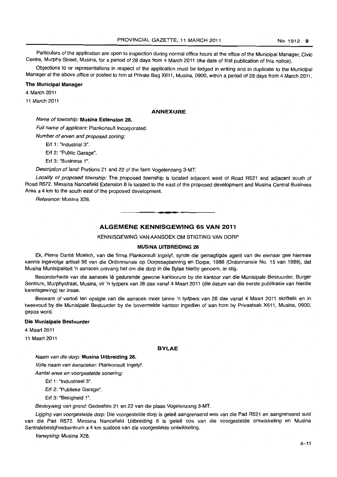Particulars of the application are open to inspection during normal office hours at the office of the Municipal Manager. Civic Centre. Murphy Street, Musina. for a period of 28 days from 4 March 2011 (the date of first publication of this notice).

Objections to or representations in respect of the application must be lodged in writing and in duplicate to the Municipal Manager at the above office or posted to him at Private Bag X611, Musina, 0900, within a period of 28 days from 4 March 2011.

### The Municipal Manager

4 March 2011

11 March 2011

# **ANNEXURE**

# Name of township: Musina Extension 28.

Full name of applicant: Plankonsult Incorporated.

Number of erven and proposed zoning:

Erf 1: "Industrial 3".

Erf 2: "Public Garage".

Erf 3: "Business 1".

Description of land: Portions 21 and 22 of the farm Vogelenzang 3-MT.

Locality of proposed township: The proposed township is located adjacent west of Road R521 and adjacent south of Road R572. Messina Nancefield Extension 8 is located to the east of the proposed development and Musina Central Business Area ± 4 km to the south east of the proposed development.

Reference: Musina X28.

# ALGEMENE KENNISGEWING 65 VAN 2011

**1\_** 

KENNISGEWING VAN AANSOEK OM STIGTING VAN DORP

### MUSINA UITBREIDING 28

Ek, Pierre Dante Moelich, van die firma Plankonsult Ingelyf, synde die gemagtigde agent van die eienaar gee hiermee kennis ingevolge artikel 96 van die Ordonnansie op Dorpsbeplanning en Dorpe, 1986 (Ordonnansie No. 15 van 1986), dat Musina Munisipaliteit 'n aansoek ontvang het om die dorp in die Bylae hierby genoem. te stig.

Besonderhede van die aansoek Ie gedurende gewone kantoorure by die kantoor van die Munisipale Bestuurder, Burger Sentrum, Murphystraat, Musina, vir 'n tydperk van 28 dae vanaf 4 Maart 2011 (die datum van die eerste publikasie van hierdie kennisgewing) ter insae.

Besware of vertoë ten opsigte van die aansoek moet binne 'n tydperk van 28 dae vanaf 4 Maart 2011 skriftelik en in tweevoud by die Munisipale Bestuurder by die bovermelde kantoor ingedien of aan hom by Privaatsak X611. Musina, 0900, gepos word.

### Die Munisipale Bestuurder

4 Maart 2011

11 Maart 2011

#### BYLAE

Naam van die dorp: Musina Uitbreiding 28.

Volle naam van aansoeker: Plankonsult Ingelyf.

Aantal erwe en voorgestelde sonering:

Erf 1: "Industrieel 3".

Erf 2: "Publieke Garage".

Erf 3: "Besigheid 1".

Beskrywing van grond: Gedeeltes 21 en 22 van die plaas Vogelenzang 3-MT.

Ligging van voorgestelde dorp: Die voorgestelde dorp is geleë aangrensend wes van die Pad R521 en aangrensend suid van die Pad R572. Messina Nancefield Uitbreiding 8 is geleë oos van die voorgestelde ontwikkeling en Musina Sentralebesigheidsentrum ± 4 km suidoos van die voorgestelde ontwikkeling.

Verwysing: Musina X28.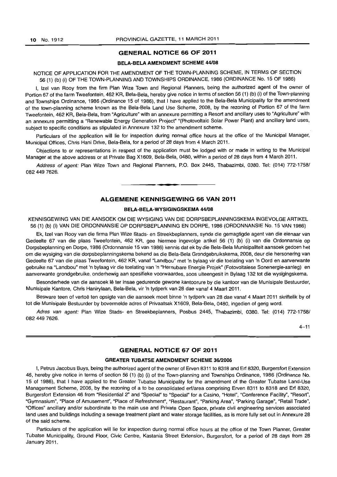#### GENERAL NOTICE 66 OF 2011

#### BELA-BELA AMENDMENT SCHEME 44/08

# NOTICE OF APPLICATION FOR THE AMENDMENT OF THE TOWN-PLANNING SCHEME, IN TERMS OF SECTION 56 (1) (b) (i) OF THE TOWN-PLANNING AND TOWNSHIPS ORDINANCE, 1986 (ORDINANCE No. 15 OF 1986)

I, Izel van Rooy from the firm Plan Wize Town and Regional Planners, being the authorized agent of the owner of Portion 67 of the farm Tweefontein, 462 KR, Bela-Bela, hereby give notice in terms of section 56 (1) (b) (i) of the Town-planning and Townships Ordinance, 1986 (Ordinance 15 of 1986), that I have applied to the Bela-Bela Municipality for the amendment of the town-planning scheme known as the Bela-Bela Land Use Scheme, 2008, by the rezoning of Portion 67 of the farm Tweefontein, 462 KR, Bela-Bela, from "Agriculture" with an annexure permitting a Resort and ancillary uses to "Agriculture" with an annexure permitting a "Renewable Energy Generation Project" "(Photovoltaic Solar Power Plant) and ancillary land uses, subject to specific conditions as stipulated in Annexure 132 to the amendment scheme.

Particulars of the application will lie for inspection during normal office hours at the office of the Municipal Manager, Municipal Offices, Chris Hani Drive, Bela-Bela, for a period of 28 days from 4 March 2011.

Objections to or representations in respect of the application must be lodged with or made in writing to the Municipal Manager at the above address or at Private Bag X1609, Bela-Bela, 0480, within a period of 28 days from 4 March 2011.

Address of agent: Plan Wize Town and Regional Planners, P.O. Box 2445, Thabazimbi, 0380. Tel: (014) 772-1758/ 082 449 7626.

**• •** 

# ALGEMENE KENNISGEWING 66 VAN 2011

#### BELA-BELA-WYSIGINGSKEMA 44/08

KENNISGEWING VAN DIE AANSOEK OM DIE WYSIGING VAN DIE DORPSBEPLANNINGSKEMA INGEVOLGE ARTIKEL 56 (1) (b) (i) VAN DIE ORDONNANSIE OP DORPSBEPLANNING EN DORPE, 1986 (ORDONNANSIE No. 15 VAN 1986)

Ek, Izel van Rooy van die firma Plan Wize Stads- en Streekbeplanners, synde die gemagtigde agent van die eienaar van Gedeelte 67 van die plaas Tweefontein, 462 KR, gee hiermee ingevolge artikel 56 (1) (b) (i) van die Ordonnansie op Dorpsbeplanning en Dorpe, 1986 (Ordonnansie 15 van 1986) kennis dat ek by die Bela-Bela Munisipaliteit aansoek gedoen het am die wysiging van die dorpsbeplanningskema bekend as die Bela-Bela Grondgebruikskema, 2008, deur die hersonering van Gedeelte 67 van die plaas Tweefontein, 462 KR, vanaf "Landbou" met 'n bylaag vir die toelating van 'n Oord en aanverwante gebruike na "Landbou" met 'n bylaag vir die toelating van 'n "Hernubare Energie Projek" (Fotovoltaiese Sonenergie-aanleg) en aanverwante grondgebruike, onderhewig aan spesifieke voorwaardes, soos uiteengesit in Bylaag 132 tot die wysigingskema.

Besonderhede van die aansoek Ie ter insae gedurende gewone kantoorure by die kantoor van die Munisipale Bestuurder, Munisipale Kantore, Chris Hanjrylaan, Bela-Bela, vir 'n tydperk van 28 dae vanaf 4 Maart 2011.

Besware teen of vertoë ten opsigte van die aansoek moet binne 'n tydperk van 28 dae vanaf 4 Maart 2011 skriftelik by of tot die Munisipale Bestuurder by bovermelde adres of Privaatsak X1609, Bela-Bela, 0480, ingedien of gerig word.

Adres van agent: Plan Wize Stads- en Streekbeplanners, Posbus 2445, Thabazimbi, 0380. Tel: (014) 772-1758/ 082 449 7626.

 $4 - 11$ 

# GENERAL NOTICE 67 OF 2011

#### **GREATER TUBATSE AMENDMENT SCHEME 36/2006**

I, Petrus Jacobus Buys, being the authorized agent of the owner of Erven 8311 to 8318 and Erf 8320, Burgersfort Extension 46, hereby give notice in terms of section 56 (1) (b) (i) of the Town-planning and Townships Ordinance, 1986 (Ordinance No. 15 of 1986), that I have applied to the Greater Tubatse Municipality for the amendment of the Greater Tubatse Land-Use Management Scheme, 2006, by the rezoning of a to be consolidated erf/area comprising Erven 8311 to 8318 and Erf 8320, Burgersfort Extension 46 from "Residential 2" and "Special" to "Special" for a Casino, "Hotel", "Conference Facility", "Resort", "Gymnasium", "Place of Amusement", "Place of Refreshment", "Restaurant", "Parking Area", "Parking Garage", "Retail Trade", "Offices" ancillary and/or subordinate to the main use and Private Open Space, private civil engineering services associated land uses and buildings including a sewage treatment plant and water storage facilities, as is more fully set out in Annexure 28 of the said scheme.

Particulars of the application will lie for inspection during normal office hours at the office of the Town Planner, Greater Tubatse Municipality, Ground Floor, Civic Centre, Kastania Street Extension, Burgersfort, for a period of 28 days from 28 January 2011.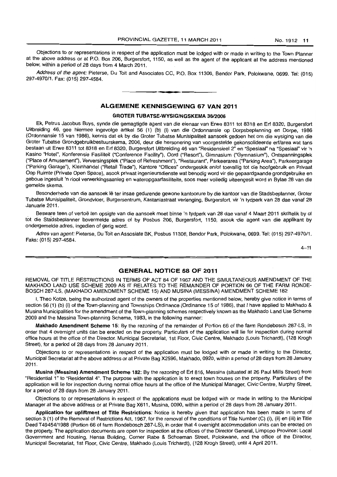Objections to or representations in respect of the application must be lodged with or made in writing to the Town Planner at the above address or at P.O. Box 206, Burgersfort, 1150, as well as the agent of the applicant at the address mentioned below, within a period of 28 days from 4 March 2011.

Address of the agent; Pieterse, Du Toit and Associates CC, P.O. Box 11306, Bendor Park, Polokwane, 0699. Tel: (015) 297-4970/1. Fax: (015) 297-4584. . **- .** 

# **ALGEMENE KENNISGEWING 67 VAN 2011**

#### GROTER TUBATSE-WVSIGINGSKEMA 36/2006

Ek, Petrus Jacobus Buys, synde die gemagtigde agent van die eienaar van Erwe 8311 tot 8318 en Erf 8320, Burgersfort Uitbreiding 46, gee hiermee ingevolge artikel 56 (1) (b) (i) van die Ordonnansie op Dorpsbeplanning en Dorpe, 1986 (Ordonnansie 15 van 1986), kennis dat ek by die Groter Tubatse Munisipaliteit aansoek gedoen het om die wysiging van die Groter Tubatse Grondgebruikbestuurskema, 2006, deur die hersonering van voorgestelde gekonsolideerde erf/area wat tans bestaan uit Erwe 8311 tot 8318 en Erf 8320, Burgersfort Uitbreiding 46 van "ResidensieeI2" en "Spesiaal" na "Spesiaal" vir 'n Kasino "Hotel", Konferensie Fasiliteit ("Conference Facility"), Oord ("Resort"), Gimnasium ("Gymnasium"), Ontspanningsplek ("Place of Amusement"), Verversingsplek ("Place of Refreshment"), "Restaurant", Parkeerarea ("Parking Area"), Parkeergarage ("Parking Garage"), Kleinhandel ("Retail Trade"), Kantore "Offices" ondergeskik en/of toevallig tot die hoofgebruik en Privaat Oop Ruimte (Private Open Space), asook privaat ingenieursdienste wat benodig word vir die gepaardgaande grondgebruike en geboue ingesluit 'n riool verwerkingsaanleg en wateropgaarfasiliteite, soos meer volledig uiteengesit word in Bylae 28 van die gemelde skema.

Besonderhede van die aansoek lê ter insae gedurende gewone kantoorure by die kantoor van die Stadsbeplanner, Groter Tubatse Munisipaliteit, Grondvloer, Burgersentrum, Kastaniastraat verlenging, Burgersfort, vir 'n tydperk van 28 dae vanaf 28 Januarie 2011.

Besware teen of vertoë ten opsigte van die aansoek moet binne 'n tydperk van 28 dae vanaf 4 Maart 2011 skriftelik by of tot die Stadsbeplanner bovermelde adres of by Posbus 206, Burgersfort, 1150, asook -die agent van die applikant by ondergemelde adres, ingedien of gerig word.

Adres van agent: Pieterse, Du Toit en Assosiate BK, Posbus 11306, Bendor Park, Polokwane, 0699. Tel: (015) 297-4970/1. Faks: (015) 297·4584.

 $4 - 11$ 

### **GENERAL NOTICE 68 OF 2011**

REMOVAL OF TITLE RESTRICTIONS IN TERMS OF ACT 84 OF 1967 AND THE SIMULTANEOUS AMENDMENT OF THE MAKHADO LAND USE SCHEME 2009 AS IT RELATES TO THE REMAINDER OF PORTION 66 OF THE FARM RONDE· BOSCH 287-LS, (MAKHADO AMENDMENT SCHEME 15) AND MUSINA (MESSINA) AMENDMENT SCHEME 182

I, Theo Kotze, being the authorized agent of the owners of the properties mentioned below, hereby give notice in terms of section 56 (1) (b) (i) of the Town-planning and Townships Ordinance (Ordinance 15 of 1986), that I have applied to Makhado & Musina Municipalities for the amendment of the Town-planning schemes respectively known as the Makhado Land Use Scheme 2009 and the Messina Town-planning Scheme, 1983, in the following manner:

Makhado Amendment Scheme 15: By the rezoning of the remainder of Portion 66 of the farm Rondebosch 287·LS, in order that 4 overnight units can be erected on the property. Particulars of the application will lie for inspection during normal office hours at the office of the Director. Municipal Secretariat, 1st Floor, Civic Centre, Makhado (Louis Trichardt), (128 Krogh Street), for a period of 28 days from 28 January 2011.

Objections to or representations in respect of the application must be lodged with or made in writing to the Director, Municipal Secretariat at the above address or at Private Bag X2596, Makhado, 0920, within a period of 28 days from 28 January 2011.

Musina (Messina) Amendment Scheme 182: By the rezoning of Erf 816, Messina (situated at 26 Paul Mills Street) from "Residential 1" to "Residential 4". The purpose with the application is to erect town houses on the property. Particulars of the application will lie for inspection during normal office hours at the office of the Municipal Manager, Civic Centre, Murphy Street, for a period of 28 days from 28 January 2011.

Objections to or representations in respect of the applications must be lodged with or made in writing to the Municipal Manager at the above address or at Private Bag X611, Musina, 0090, within a period of 28 days from 28 January 2011.

Application for upliftment of Title Restrictions: Notice is hereby given that application has been made in terms of section 3 (1) of the Removal of Restrictions Act, 1967, for the removal of the conditions of Title Number (C) (i), (ii) en (iii) in Title Deed T49454/1988 (Portion 66 of farm Rondebosch 287-LS), in order that 4 overnight accommodation units can be erected on the property. The application documents are open for inspection at the offices of the Director General, Limpopo Province: Local Government and Housing, Hensa Building, Corner Rabe & Schoeman Street. Polokwane, and the office of the Director, Municipal Secretariat, 1st Floor, Civic Centre, Makhado (Louis Trichardt), (128 Krogh Street), until 4 April 2011.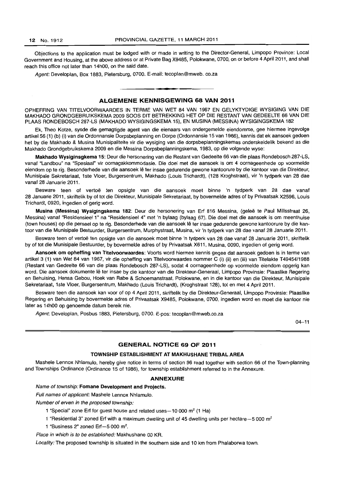Objections to the application must be lodged with or made in writing to the Director-General, Limpopo Province: Local Government and Housing, at the above address or at Private Bag X9485, Polokwane, 0700, on or before 4 April 2011. and shall reach this office not later than 14hOO, on the said date.

Agent: Developlan, Box 1883, Pietersburg, 0700. E-mail: tecoplan@mweb. co.za

# ALGEMENE KENNISGEWING 68 VAN 2011

**. -**

OPHEFFING VAN TITELVOORWAARDES IN TERME VAN WET 84 VAN 1967 EN GELYKTYDIGE WYSIGING VAN DIE MAKHADO GRONDGEBRUIKSKEMA 2009 SOOS DIT BETREKKING HET OP DIE RESTANT VAN GEDEELTE 66 VAN DIE PLAAS RONDEBOSCH 287-LS (MAKHADO WYSIGINGSKEMA 15). EN MUSINA (MESSINA) WYSIGINGSKEMA 182

Ek. Theo Kotze, synde die gemagtigde agent van die eienaars van ondergemelde eiendomme. gee hiermee ingevolge artikel56 (1) (b) (i) van die Ordonnansie Dorpsbeplanning en Dorpe (Ordonnansie 15 van 1986), kennis dat ek aansoek gedoen het by die Makhado & Musina Munisipaliteite vir die wysiging van die dorpsbeplanningskemas onderskeidelik bekend as die Makhado Grondgebruikskema 2009 en die Messina Dorpsbeplanningskema. 1983, op die volgende wyse:

Makhado Wysiginsgkema 15: Deur die hersonering van die Restant van Gedeelte 66 van die plaas Rondebosch 287-LS, vanaf "Landbou" na "Spesiaal" vir oornagakkommodasie. Die doel met die aansoek is om 4 oornageenhede op voormelde eiendom op te rig. Besonderhede van die aansoek lê ter insae gedurende gewone kantoorure by die kantoor van die Direkteur, Munisipale Sekretariaat, 1ste Vloer, Burgersentrum, Makhado (Louis Trichardt), (128 Kroghstraat), vir 'n tydperk van 28 dae vanaf 28 Januarie 2011.

Besware teen of vertoë ten opsigte van die aansoek moet binne 'n tydperk van 28 dae vanaf 28 Januarie 2011, skriftelik by of tot die Direkteur, Munisipale Sekretariaat, by bovermelde adres of by Privaatsak X2596, Louis Trichardt, 0920, ingedien of gerig word.

Musina (Messina) Wysigingskema 182: Deur die hersonering van Erf 816 Messina, (geleë te Paul Millsstraat 26, Messina) vanaf "Residensieel 1" na "Residensieel 4" met 'n bylaag (bylaag 67). Die doel met die aansoek is om meenthuise (town houses) op die perseel op te rig. Besonderhede van die aansoek Ie ter insae gedurende gewone kantoorure by die kantoar van die Munisipale Bestuurder, Burgersentrum, Murphystraat, Musina, vir 'n tydperk van 28 dae vanaf 28 Januarie 2011.

Besware teen of vertoë ten opsigte van die aansoek moet binne 'n tydperk van 28 dae vanaf 28 Januarie 2011, skriftelik by of tot die Munisipale Bestuurder, by bovermelde adres of by Privaatsak X611, Musina, 0090, ingedien of gerig word.

Aansoek om opheffing van Titelvoorwaardes: Voorts word hiermee kennis gegee dat aansoek gedoen is in terme van artikel3 (1) van Wet 84 van 1967, vir die opheffing van Titelvoorwaardes nom mer C (i) (ii) en (iii) van Titelakte T49454/1988 (Restant van Gedeelte 66 van die plaas Rondebosch 287-LS), sodat 4 oornageenhede op voormelde eiendom opgerig kan word. Die aansoek dokumente lê ter insae by die kantoor van die Direkteur-Generaal, Limpopo Provinsie: Plaaslike Regering en Behuising, Hensa Gebou, Hoek van Rabe & Schoemanstraat, Polokwane, en in die kantoor van die Direkteur, Munisipale Sekretariaat, 1 ste Vloer, Burgersentrum. Makhado (Louis Trichardt), (Kroghstraat 128), tot en met 4 April 2011.

Besware teen die aansoek kan voor of op 4 April 2011, skriftelik by die Direkteur-Generaal, Limpopo Provinsie: Plaaslike Regering en Behuising by bovermelde adres of Privaatsak X9485, Polokwane, 0700, ingedien word en moet die kantoor nie later as 14hOO op genoemde datum bereik nie.

Agent: Developlan, Posbus 1883, Pietersburg, 0700. E-pos: tecoplan@mweb.co.za

 $04 - 11$ 

### GENERAL NOTICE 69 OF 2011

# TOWNSHIP ESTABLISHMENT AT MAKHUSHANE TRIBAL AREA

Mashele Lennox Nhlamulo, hereby give notice in terms of section 96 read together with section 66 of the Town-planning and Townships Ordinance (Ordinance 15 of 1986), for township establishment referred to in the Annexure.

#### ANNEXURE

Name of township: Fomane Development and Projects.

Full names of applicant: Mashele Lennox Nhlamulo.

Number of erven in the proposed township:

- 1 "Special" zone Erf for guest house and related uses $-10000$  m<sup>2</sup> (1 Ha)
- 1 "Residential 3" zoned Erf with a maximum dwelling unit of 45 dwelling units per hectare $-5000$  m<sup>2</sup>
- 1 "Business 2" zoned  $Erf 5000$  m<sup>2</sup>.

Place in which is to be established: Makhushane 00 KR.

Locality: The proposed township is situated in the southern side and 10 km from Phalaborwa town.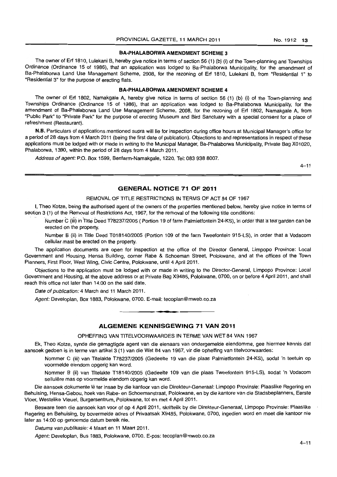# BA-PHALABORWA AMENDMENT SCHEME 3

The owner of Erf 1810, Lulekani B, hereby give notice in terms of section 56 (1) (b) (i) of the Town-planning and Townships Ordinance (Ordinance 15 of 1986), that an application was lodged to Ba-Phalaborwa Municipality, for the amendment of Ba-Phalaborwa Land Use Management Scheme, 2008, for the rezoning of Erf 1810, Lulekani B, from "Residential 1" to "Residential 3" for the purpose of erecting flats.

# BA-PHALABORWA AMENDMENT SCHEME 4

The owner of Erf 1802, Namakgale A, hereby give notice in terms of section 56 (1) (b) (i) of the Town-planning and Townships Ordinance (Ordinance 15 of 1986), that an application was lodged to Ba-Phalaborwa Municipality, for the amendment of Ba-Phalaborwa Land Use Management Scheme, 2008, for the rezoning of Erf 1802, Namakgale A, from "Public Park" to "Private Park" for the purpose of erecting Museum and Bird Sanctuary with a special consent for a place of refreshment (Restaurant).

N.B. Particulars of applications mentioned supra will lie for inspection during office hours at Municipal Manager's office for a period of 28 days from 4 March 2011 (being the first date of publcation). Objections to and representations in respect of these applications must be lodged with or made in writing to the Municipal Manager, Ba-Phalaborwa Municipality, Private Bag X01020, Phalaborwa, 1390, within the period of 28 days from 4 March 2011.

Address of agent: P.O. Box 1599, Benfarm-Namakgale, 1220. Tel: 083 938 8007.

 $4 - 11$ 

# GENERAL NOTICE 71 OF 2011

#### REMOVAL OF TITLE RESTRICTIONS IN TERMS OF ACT 84 OF 1967

I, Theo Kotze, being the authorised agent of the owners of the properties mentioned below, hereby give notice in terms of section 3 (1) of the Removal of Restrictions Act, 1967, for the removal of the following title conditions:

Number C (iii) in Title Deed T78237/2005 ( Portion 19 of farm Palmietfontein 24-KS), in order that a tea garden can be erected on the property.

Number B (ii) in Title Deed T018140/2005 (Portion 109 of the farm Tweefontein 915-LS), in order that a Vodacom cellular mast be erected on the property.

The application documents are open for inspection at the office of the Director General, Limpopo Province: Local Government and Housing, Hensa Building, comer Rabe & Schoeman Street, Polokwane, and at the offices of the Town Planners, First Floor, West Wing, Civic Centre, Polokwane, until 4 April 2011.

Objections to the application must be lodged with or made in writing to the Director-General, Limpopo Province: Local Government and Housing, at the above address or at Private Bag X9485, Polokwane, 0700, on or before 4 April 2011, and shall reach this office not later than 14:00 on the said date.

Date of publication: 4 March and 11 March 2011.

Agent: Developlan, Box 1883, Polokwane, 0700. E-mail: tecoplan@mweb.co.za

#### ALGEMENE KENNISGEWING 71 VAN 2011

• **• I** 

OPHEFFING VAN TITELVOORWAARDES IN TERME VAN WET 84 VAN 1967

Ek, Theo Kotze, synde die gemagtigde agent *van* die eienaars van ondergemelde eiendomme, gee hiermee kennis dat aansoek gedoen is in terme van artikel3 (1) *van* die Wet 84 *van* 1967, vir die opheffing *van* titelvoorwaardes:

Nommer C (iii) *van* Titelakte T78237/2005 (Gedeelte 19 van die plaas Palmietfontein 24-KS), sodat 'n teetuin op voormelde eiendom opgerig kan word.

Nommer B (ii) van Titelakte T18140/2005 (Gedeelte 109 van die plaas Tweefontein 915-LS), sodat 'n Vodacom sellulêre mas op voormelde eiendom opgerig kan word.

Die aansoek dokumente Ie ter insae by die kantoor van die Direkteur-Generaal: Limpopo Provinsie: Plaaslike Regering en Behuising, Hensa-Gebou, hoek van Rabe- en Schoemanstraat, Polokwane, en by die kantore van die Stadsbeplanners, Eerste Vloer, Westelike Vleuel, Burgersentrum, Polokwane, tot en met 4 April 2011.

Besware teen die aansoek kan voor of op 4 April 2011, skriftelik by die Direkteur-Generaal, Limpopo Provinsie: Plaaslike Regering en Behuising, by bovermelde adres of Privaatsak X9485, Polokwane, 0700, ingedien word en moet die kantoor nie later as 14:00 op genoemde datum bereik nie.

Datums van publikasie: 4 Maart en 11 Maart 2011.

Agent: Developlan, Bus 1883, Polokwane, 0700. E-pos: tecoplan@mweb.co.za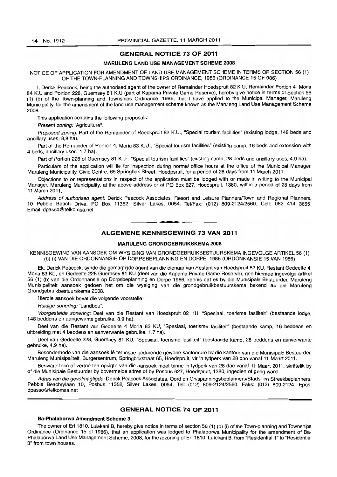# GENERAL NOTICE 73 OF 2011

### MARULENG LAND USE MANAGEMENT SCHEME 2008

#### NOTICE OF APPLICATION FOR AMENDMENT OF LAND USE MANAGEMENT SCHEME IN TERMS OF SECTION 56 (1) OF THE TOWN-PLANNING AND TOWNSHIPS ORDINANCE, 1986 (ORDINANCE 15 OF 986)

I, Derick Peacock, being the authorised agent of the owner of Remainder Hoedspruit 82 K U, Remainder Portion 4 Moria 84 K.U and Portion 228, Guernsey 81 K.U (part of Kapama Private Game Reserve), hereby give notice in terms of Section 56 (1) (b) of the Town-planning and Townships Ordinance, 1986, that I have applied to the Municipal Manager, Maruleng Municipality, for the amendment of the land use management scheme known as the Maruleng Land Use Management Scheme 2008.

This application contains the following proposals:

Present zoning: "Agriculture".

Proposed zoning: Part of the Remainder of Hoedspruit 82 K.U., "Special tourism facilities" (existing lodge, 148 beds and ancillary uses, 8,9 ha).

Part of the Remainder of Portion 4, Moria 83 K.U., "Special tourism facilities" (existing camp, 16 beds and extension with 4 beds, ancillary uses. 1,7 ha).

Part of Portion 228 of Guernsey 81 K.U., "Special tourism facilities" (existing camp, 28 beds and ancillary uses, 4.9 hal.

Particulars of the application will lie for inspection during normal office hours at the office of the Municipal Manager, Maruleng Municipality, Civic Centre, 65 Springbok Street, Hoedpsruit, for a period of 28 days from 11 March 2011.

Objections to or representations in respect of the application must be lodged with or made in writing to the Municipal Manager, Maruleng Municipality, at the above address or at PO Box 627, Hoedspruit, 1380, within a period of 28 days from 11 March 2011.

Address of authorised agent: Derick Peacock Associates, Resort and Leisure Planners/Town and Regional Planners, 10 Pebble Beach Drive, PO Box 11352, Silver Lakes, 0054. Tel/Fax: (012) 809-2124/2560. Cell: 082 414 3655. Email: dpasso@telkomsa.net

**•** 

# ALGEMENE KENNISGEWING 73 VAN 2011

#### MARULENG GRONDGEBRUIKSKEMA 2008

KENNISGEWING VAN AANSOEK OM WYSIGING VAN GRONDGEBRUIKBESTUURSKEMA INGEVOLGE ARTIKEL 56 (1) (b) (i) VAN DIE ORDONNANSIE OP DORPSBEPLANNING EN DORPE, 1986 (ORDONNANSIE 15 VAN 1986)

Ek, Derick Peacock, synde die gemagtigde agent van die eienaar van Restant van Hoedspruit 82 KU, Restant Gedeelte 4, Moria 83 KU, en Gedeelte 228 Guernsey 81 KU (deel van die Kapama Private Game Reserve), gee hiermee ingevolge artikel 56 (1) (b) van die Ordonnansie op Dorpsbeplanning en Dorpe 1986, kennis dat ek by die Munisipale Bestuurder, Maruleng Munisipaliteit aansoek gedoen het om die wysiging van die grondgebruikbestuurskema bekend as die Maruleng Grondgebruikbestuurskema 2008.

Hierdie aansoek bevat die volgende voorstelle:

Huidige sonering: "Landbou".

Voorgestelde sonering: Deel van die Restant van Hoedspruit 82 KU, "Spesiaal, toerisme fasiliteit" (bestaande lodge, 148 beddens en aangewante gebruike, 8.9 ha).

Deel van die Restant van Gedeelte 4 Moria 83 KU, "Spesiaal, toerisme fasiliteit" (bestaande kamp, 16 beddens en uitbreiding met 4 beddens en aanverwante gebruike, 1,7 ha).

Deel van Gedeelte 228, Guernsey 81 KU, "Spesiaal, toerisme fasiliteit" (bestaande kamp, 28 beddens en aanverwante gebruike, 4,9 ha).

Besonderhede van die aansoek lê ter insae gedurende gewone kantoorure by die kantoor van die Munisipale Bestuurder, Maruleng Munisipaliteit, Burgersentrum, Springbokstraat 65, Hoedspruit, vir 'n tydperk van 28 dae vanaf 11 Maart 2011.

Besware teen of vertoë ten opsigte van die aansoek moet binne 'n tydperk van 28 dae vanaf 11 Maart 2011, skriftelik by of die Munisipale Bestuurder by bovermelde adres of by Posbus 627, Hoedspruit, 1380, ingedien of gerig word.

Adres van die gevolmagtigde: Derick Peacock Associates, Oord en Ontspanningsbeplanners/Stads- en Streekbeplanners, Pebble Beachrylaan 10, Posbus 11352, Silver Lakes, 0054. Tel: (012) 809-2124/2560. Faks: (012) 809-2124. Epos: dpasso@telkomsa.net

# GENERAL NOTICE 74 OF 2011

# Ba-Phalaborwa Amendment Scheme 3.

The owner of Erf 1810, Lulekani B, hereby give notice in terms of section 56 (1) (b) (i) of the Town-planning and Townships Ordinance (Ordinance 15 of 1986), that an application was lodged to Phalaborwa Municipality for the amendment of Ba-Phalaborwa Land Use Management Scheme, 2008, for the rezoning of Erf 1810, Lulekani B, from "Residential 1" to "Residential 3" from town houses.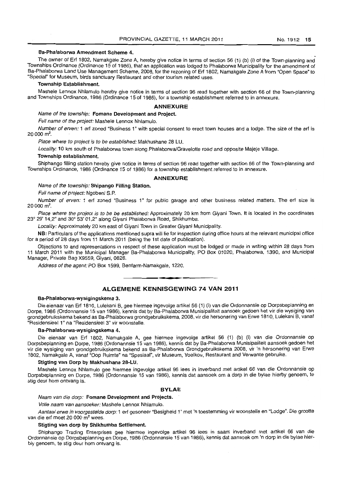#### Ba-Phalaborwa Amendment Scheme 4.

The owner of Erf 1802, Namakgale Zone A, hereby give notice in terms of section 56 (1) (b) (i) of the Town-planning and-Townships Ordinance (Ordinance 15 of 1986), that an application was lodged to Phalaborwa Municipality for the amendment of Ba-Phalaborwa Land Use Management Scheme, 2008, for the rezoning of Erf 1802, Namakgale Zone A from "Open Space" to "Special" for Museum, birds sanctuary Restaurant and other tourism related uses.

# Township Establishment.

Mashele Lennox Nhlamulo hereby give notice in terms of section 96 read together with section 66 of the Town-planning and Townships Ordinance, 1986 (Ordinance 15 of 1986), for a township establishment referred to in annexure.

#### **ANNEXURE**

#### Name of the township: Fomane Development and Project.

Full name of the project: Mashele Lennox Nhlamulo.

Number of erven: 1 erf zoned "Business 1" with special consent to erect town houses and a lodge. The size of the erf is  $20000$  m<sup>2</sup>.

Place where to project is to be established: Makhushane 28 LU.

Locality: 10 km south of Phalaborwa town along Phalaborwa/Gravelotte road and opposite Majeje Village.

#### Township establishment,

Shiphango filling station hereby give notice in terms of section 96 read together with section 66 of the Town-planning and Townships Ordinance, 1986 (Ordinance 15 of 1986) for a township establishment referred to in annexure.

#### **ANNEXURE**

#### Name of the township: Shipango Filling Station.

Full name of project: Ngobeni S.P.

Number of erven: 1 erf zoned "Business 1" for public garage and other business related matters. The ert size is 20 000 m<sup>2</sup>.

Place where the project is to be be established: Approximately 20 km from Giyani Town. It is located in the coordinates 23° 29' 14,2" and 30° 53' 01,2" along Giyani Phalaborwa Road, Shikhumba.

Locality: Approximately 20 km east of Giyani Town in Greater Giyani Municipality.

NB: Particulars of the applications mentioned supra will lie for inspection during office hours at the relevant municipal office for a period of 28 days from 11 March 2011 (being the 1st date of publication).

Objections to and representations in respect of these application must be lodged or made in writing within 28 days from 11 March 2011 with the Municipal Manager Ba-Phalaborwa Municipality, PO Box 01020, Phalaborwa, 1390, and Municipal Manager, Private Bag X9559, Giyani, 0826.

Address of the agent: PO Box 1599, Benfarm-Namakgale, 1220.

# • **• • ALGEMENE KENNISGEWING 74 VAN 2011**

### Ba-Phalaborwa-wysigingskema 3.

Die eienaar van Erf 1810, Lulekani B, gee hiermee ingevolge artikel 56 (1) (i) *van* die Ordonnansie op Dorpsbeplanning en Dorpe, 1986 (Ordonnansie 15 van 1986), kennis dat by Ba-Phalaborwa Munisipaliteit aansoek gedoen het vir die wysiging van grondgebruikskema bekend as Ba-Phalaborwa grondgebruikskema, 2008, vir die hersonering van Erwe 1810, Lulekani B, vanaf "Residensieel 1" na "Residensieel 3" vir woonstelle.

#### Ba-Phalaborwa-wysigingskema 4.

Die eienaar van Erf 1802, Namakgale A, gee hiermee ingevolge artikel 56 (1) (b) (i) van die Ordonnansie op Dorpsbeplanning en Dorpe, 1986 (Ordonannsie 15 van 1986), kennis dat by Ba-Phalaborwa Munisipaliteil aansoek gedoen het vir die wysiging van grondgebruikskema bekend as Ba-Phalaborwa Grondgebruikskema 2008, vir 'n hersonering van Erwe 1802, Namakgale A, vanaf "Oop Ruimte" na "Spesiaal", vir Museum, Voelkou, Restaurant and Verwante gebruike.

### Stigting van Dorp by Makhushane 28-LU.

Mashele Lennox Nhlamulo gee hiermee ingevolge artikel 96 lees in inverband met artikel 66 van die Ordonnansie op Dorpsbeplanning en Darpe, 1986 (Ordonnansie 15 van 1986), kennis dat aansoek om a dorp in die bylae hierby genoem, Ie stig deur hom ontvang is.

#### **BYLAE**

Naam van die dorp: Fomane Development and Projects.

Volle naam van aansoeker: Mashele Lennox Nhlamulo.

Aantaal erwe in voorgestelde dorp: 1 erf gesoneer "Besigheid 1" met 'n toestemming vir woonstelle en "Lodge". Die grootte van die erf moet 20 000 m<sup>2</sup> wees.

#### Stigting van dorp by Shikhumba Settlement.

Shiphango Trading Enterprises gee hiermee ingevolge artikel 96 lees in saam inverband met artikel 66 van die Ordonnansie op Dorpsbeplanning en Dorpe, 1986 (Ordonnansie 15 van 1986), kennis dal aansoek om 'n dorp in die bylae hierbiy genoem, te stig deur hom ontvang is.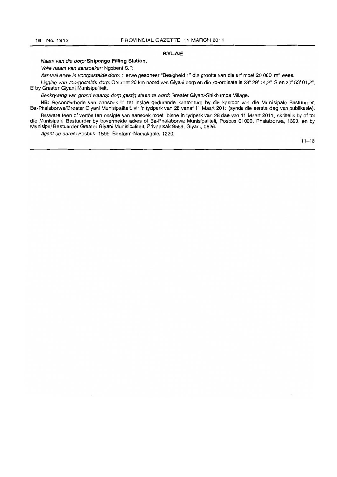# **BYLAE**

Naam van die dorp: **Shipango Filling Station.** 

Volle naam van aansoeker: Ngobeni S.P.

Aantaal erwe in voorgestelde dorp: 1 erwe gesoneer "Besigheid 1" die grootte van die erf moet 20 000 m<sup>2</sup> wees.

Ligging van voorgestelde dorp: Omtrent 20 km noord van Giyani dorp en die ko-ordinate is 23° 29' 14,2" S en 30° 53' 01,2", E by Greater Giyani Munisipaliteit.

Beskrywing van grond waarop dorp gestig staan te word: Greater Giyani-Shikhumba Village.

**NB:** Besonderhede van aansoek Ie ter inslae gedurende kantoorure by die kantoor van die Munisipale Bestuurder, Ba-PhalaborwalGreater Giyani Munisipaliteit, vir 'n tydperk van 28 vanaf 11 Maart 2011 (synde die eerste dag van publikasie).

Besware teen of vertöe ten opsigte van aansoek moet binne in tydperk van 28 dae van 11 Maart 2011, skriftelik by of tot die Munisipale Bestuurder by bovermelde adres of Ba-Phalaborwa Munisipaliteit, Posbus 01020, Phalaborwa, 1390, en by Munisipal Bestuurder Greater Giyani Munisipaliteit, Privaatsak 9559, Giyani, 0826.

Agent se adres: Posbus 1599, Benfarm-Namakgale, 1220.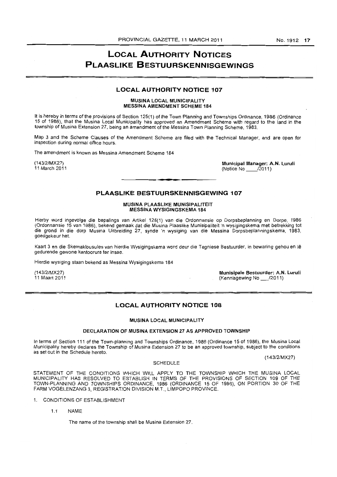# **LOCAL AUTHORITY NOTICES PLAASLIKE BESTUURSKENNISGEWINGS**

### **LOCAL AUTHORITY NOTICE 107**

#### MUSINA LOCAL MUNICIPALITY MESSINA AMENDMENT SCHEME 184

It is hereby in terms of the provisions of Section 125(1) of the Town Planning and Townships Ordinance, 1986 (Ordinance 15 of 1986), that the Musina Local Municipality has approved an Amendment Scheme with regard to the land in the township of Musina Extension 27, being an amendment of the Messina Town Planning Scheme, 1983.

Map 3 and the Scheme Clauses of the Amendment Scheme are filed with the Technical Manager, and are open for inspection during normal office hours.

The amendment is known as Messina Amendment Scheme 184

(143/2/MX27) 11 March 2011 Municipal Manager: A.N. Luruli (Notice No \_\_ /2011)

# **PLAASLIKE BESTUURSKENNISGEWING 107**

#### MUSINA PLAASLIKE MUNISIPALITEIT MESSINA WYSIGINGSKEMA 184

Hierby word ingevolge die bepalings van Artikel 125(1) van die Ordonnansie op Dorpsbeplanning en Dorpe, 1986 (Ordonnansie 15 van 1986), bekend gemaak dat die Musina Plaaslike Munisipaliteit 'n wysigingskema met betrekking tot die grond in die dorp Musina Uitbreiding 27, synde 'n wysiging van die Messina Dorpsbeplanningskema, 1983, goedgekeur het.

Kaart 3 en die Skemaklousules van hierdie Wysigingskema word deur die Tegniese Bestuurder, in bewaring gehou en Ie gedurende gewone kantoorure ter insae.

Hierdie wysiging staan bekend as Messina Wysigingskema 184

(143/2/MX27) 11 Maart 2011 Munisipale Bestuurder: A.N, Luruli (Kennisgewing No \_/2011)

# **LOCAL AUTHORITY NOTICE 108**

#### MUSINA LOCAL MUNICIPALITY

#### DECLARATION OF MUSINA EXTENSION 27 AS APPROVED TOWNSHIP

In terms of Section 111 of the Town-planning and Townships Ordinance, 1986 (Ordinance 15 of 1986), the Musina Local Municipality hereby declares the Township of Musina Extension 27 to be an approved township, subject to the conditions as set out in the Schedule hereto.

(143/2/MX27)

#### **SCHEDULE**

STATEMENT OF THE CONDITIONS WHICH WILL APPLY TO THE TOWNSHIP WHICH THE MUSINA LOCAL MUNICIPALITY HAS RESOLVED TO ESTABLISH IN TERMS OF THE PROVISIONS OF SECTION 109 OF THE TOWN-PLANNING AND TOWNSHIPS ORDINANCE, 1986 (ORDINANCE 15 OF 1986), ON PORTION 30 OF THE FARM VOGELENZANG 3, REGISTRATION DIVISION M.T., LIMPOPO PROVINCE.

- 1. CONDITIONS OF ESTABLISHMENT
	- 1.1 NAME

The name of the township shall be Musina Extension 27.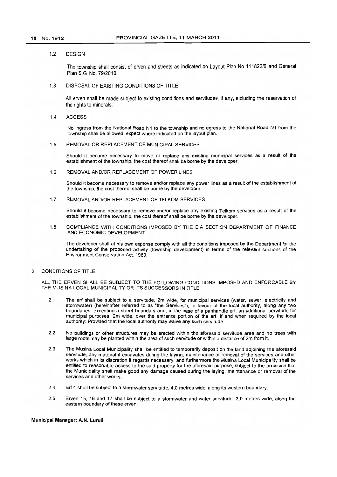#### 1.2 DESIGN

The township shall consist of erven and streets as indicated on Layout Plan No 111822/6 and General Plan S.G. No. 79/2010.

# 1.3 DISPOSAL OF EXISTING CONDITIONS OF TITLE

All erven shall be made subject to existing conditions and servitudes, if any, including the reservation of the rights to minerals.

1.4 ACCESS

No ingress from the National Road N1 to the township and no egress to the National Road N1 from the township shall be allowed, expect where indicated on the layout plan.

#### 1.5 REMOVAL OR REPLACEMENT OF MUNICIPAL SERVICES

Should it become necessary to move or replace any existing municipal services as a result of the establishment of the township, the cost thereof shall be borne by the developer.

1.6 REMOVAL AND/OR REPLACEMENT OF POWER LINES

Should it become necessary to remove and/or replace any power lines as a result of the establishment of the township, the cost thereof shall be borne by the developer.

1.7 REMOVAL ANDIOR REPLACEMENT OF TELKOM SERVICES

Should it become necessary to remove and/or replace any existing Telkom services as a result of the establishment of the township, the cost thereof shall be borne by the developer.

1.8 COMPLIANCE WITH CONDITIONS IMPOSED BY THE EIA SECTION DEPARTMENT OF FINANCE AND ECONOMIC DEVELOPMENT

The developer shall at his own expense comply with all the conditions imposed by the Department for the undertaking of the proposed activity (township development) in terms of the relevant sections of the Environment Conservation Act, 1989.

2. CONDITIONS OF TITLE

ALL THE ERVEN SHALL BE SUBJECT TO THE FOLLOWING CONDITIONS IMPOSED AND ENFORCABLE BY THE MUSINA LOCAL MUNICIPALITY OR ITS SUCCESSORS IN TITLE.

- 2.1 The erf shall be subject to a servitude, 2m wide, for municipal services (water, sewer, electricity and stormwater) (hereinafter referred to as "the Services"), in favour of the local authority, along any two boundaries, excepting a street boundary and, in the case of a panhandle erf, an additional servitude for municipal purposes, 2m wide, over the entrance portion of the erf, if and when required by the local authority: Provided that the local authority may waive any such servitude.
- 2.2 No buildings or other structures may be erected within the aforesaid servitude area and no trees with large roots may be planted within the area of such servitude or within a distance of 2m from it.
- 2.3 The Musina Local Municipality shall be entitled to temporarily deposit on the land adjoining the aforesaid servitude, any material it excavates during the laying, maintenance or removal of the services and other works which in its discretion it regards necessary, and furthermore the Musina Local Municipality shall be entitled to reasonable access to the said property for the aforesaid purpose, subject to the provision that the Municipality shall make good any damage caused during the laying, maintenance or removal of the services and other works.
- 2.4 Erf 4 shall be subject to a stormwater servitude, 4,0 metres wide, along its western boundary.
- 2.5 Erven 15, 16 and 17 shall be subject to a stormwater and water servitude, 3,0 metres wide, along the eastem boundary of these erven.

Municipal Manager: A.N. Luruli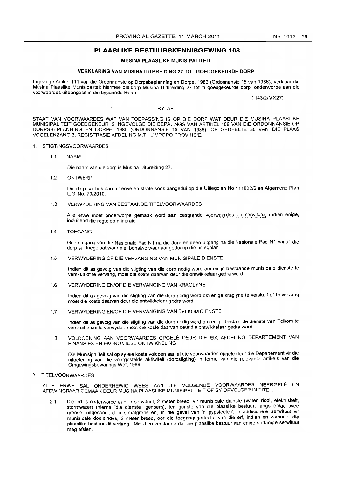# **PLAASLIKE BESTUURSKENNISGEWING 108**

#### **MUSINA PLAASLIKE MUNISIPALITEIT**

# **VERKLARING VAN MUSINA UITBREIDING 27 TOT GOEDGEKEURDE DORP**

Ingevolge Artikel 111 van die Ordonnansie op Dorpsbeplanning en Dorpe, 1986 (Ordonnansie 15 van 1986), verklaar die Musina Plaaslike Munisipaliteit hiermee die dorp Musina Uitbreiding 27 tot 'n goedgekeurde dorp, onderworpe aan die voorwaardes uiteengesit in die bygaande Bylae,

( 143/2/MX27)

#### BYLAE

STAAT VAN VOORWAARDES WAT VAN TOEPASSING IS OP DIE DORP WAT DEUR DIE MUSINA PLAASLIKE MUNISIPAUTEIT GOEDGEKEUR IS INGEVOLGE DIE BEPAUNGS VAN ARTIKEL 109 VAN DIE ORDONNANSIE OP DORPSBEPLANNING EN DORPE, 1986 (ORDONNANSIE 15 VAN 1986), OP GEDEELTE 30 VAN DIE PLAAS VOGELENZANG 3, REGISTRASIE AFDELING M.T., LIMPOPO PROVINSIE.

#### 1. STIGTINGSVOORWAARDES

1,1 NAAM

Die naam van die dorp is Musina Uitbreiding 27,

1,2 ONTWERP

Die dorp sal bestaan uit erwe en strate soos aangedui op die Uitlegplan No 111822/6 en Aigemene Plan L,G. No. 79/2010,

1,3 VERWYDERING VAN BESTAANDE TITELVOORWAARDES

Alle erwe moet onderworpe gemaak word aan bestaande voorwaardes en serwitute, indien enige, insluitend die regte op minerale.

1.4 TOEGANG

Geen ingang van die Nasionale Pad N1 na die dorp en geen uitgang na die Nasionale Pad N1 vanuit die dorp sal toegelaat word nie, behalwe waar aangedui op die uitlegplan.

1,5 VERWYDERING OF DIE VERVANGING VAN MUNISIPALE DIENSTE

Indien dit as gevolg van die stigting van die dorp nodig word om enige bestaande munisipale dienste te verskuif of te vervang, moet die koste daarvan deur die ontwikkelaar gedra word,

1.6 VERWYDERING EN/OF DIE VERVANGING VAN KRAGLYNE

Indien dit as gevolg van die stigting van die dorp nodig word om enige kraglyne te verskuif of te vervang moet die koste daarvan deur die ontwikkelaar gedra word,

1,7 VERWYDERING EN/OF DIE VERVANGING VAN TELKOM DIENSTE

Indien dit as gevolg van die stigting van die dorp nodig word om enige bestaande dienste van Telkom te verskuif en/of te verwyder, moet die koste daarvan deur die ontwikkelaar gedra word.

1,8 VOLDOENING AAN VOORWAARDES OPGELE DEUR DIE EIA AFDELING DEPARTEMENT VAN FINANSIES EN EKONOMIESE ONTWIKKELING

Die Munisipaliteit salop sy eie koste voldoen aan al die voorwaardes opgele deur die Departement vir die uitoefening van die voorgestelde aktiwiteit (dorpstigting) in terme van die relevante artikels van die Omgewingsbewarings Wet, 1989.

2 TITELVOORWAARDES

ALLE ERWE SAL ONDERHEWIG WEES AAN DIE VOLGENDE VOORWAARDES NEERGELE EN AFDWINGBAAR GEMAAK DEUR MUSINA PLAASLIKE MUNISIPALITEIT OF SY OPVOLGER IN TITEL.

2,1 Die erf is onderworpe aan 'n serwituut, 2 meter breed, vir munisipale dienste (water, riool, elektrisiteit, stormwater) (hierna "die dienste" genoem), ten gunste van die plaaslike bestuur, langs enige twee grense, uitgesonderd 'n straatgrens en, in die geval van 'n pvpsteelerf, 'n addisionele serwituut vir munisipale doeleindes, 2 meter breed, oor die toegangsgedeelte van die erf, indien en wanneer die plaaslike bestuur dit verlang: Met dien verstande dat die plaaslike bestuur van enige sodanige serwituut mag afsien,